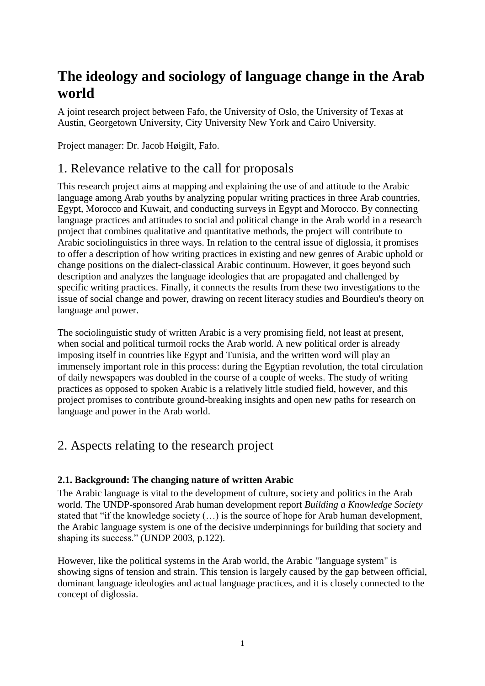# **The ideology and sociology of language change in the Arab world**

A joint research project between Fafo, the University of Oslo, the University of Texas at Austin, Georgetown University, City University New York and Cairo University.

Project manager: Dr. Jacob Høigilt, Fafo.

# 1. Relevance relative to the call for proposals

This research project aims at mapping and explaining the use of and attitude to the Arabic language among Arab youths by analyzing popular writing practices in three Arab countries, Egypt, Morocco and Kuwait, and conducting surveys in Egypt and Morocco. By connecting language practices and attitudes to social and political change in the Arab world in a research project that combines qualitative and quantitative methods, the project will contribute to Arabic sociolinguistics in three ways. In relation to the central issue of diglossia, it promises to offer a description of how writing practices in existing and new genres of Arabic uphold or change positions on the dialect-classical Arabic continuum. However, it goes beyond such description and analyzes the language ideologies that are propagated and challenged by specific writing practices. Finally, it connects the results from these two investigations to the issue of social change and power, drawing on recent literacy studies and Bourdieu's theory on language and power.

The sociolinguistic study of written Arabic is a very promising field, not least at present, when social and political turmoil rocks the Arab world. A new political order is already imposing itself in countries like Egypt and Tunisia, and the written word will play an immensely important role in this process: during the Egyptian revolution, the total circulation of daily newspapers was doubled in the course of a couple of weeks. The study of writing practices as opposed to spoken Arabic is a relatively little studied field, however, and this project promises to contribute ground-breaking insights and open new paths for research on language and power in the Arab world.

# 2. Aspects relating to the research project

# **2.1. Background: The changing nature of written Arabic**

The Arabic language is vital to the development of culture, society and politics in the Arab world. The UNDP-sponsored Arab human development report *Building a Knowledge Society* stated that "if the knowledge society  $(...)$  is the source of hope for Arab human development, the Arabic language system is one of the decisive underpinnings for building that society and shaping its success." (UNDP 2003, p.122).

However, like the political systems in the Arab world, the Arabic "language system" is showing signs of tension and strain. This tension is largely caused by the gap between official, dominant language ideologies and actual language practices, and it is closely connected to the concept of diglossia.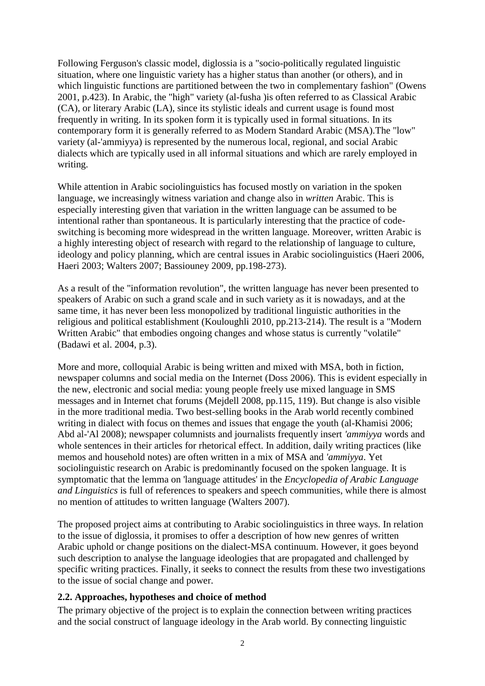Following Ferguson's classic model, diglossia is a "socio-politically regulated linguistic situation, where one linguistic variety has a higher status than another (or others), and in which linguistic functions are partitioned between the two in complementary fashion" (Owens 2001, p.423). In Arabic, the "high" variety (al-fusha )is often referred to as Classical Arabic (CA), or literary Arabic (LA), since its stylistic ideals and current usage is found most frequently in writing. In its spoken form it is typically used in formal situations. In its contemporary form it is generally referred to as Modern Standard Arabic (MSA).The "low" variety (al-'ammiyya) is represented by the numerous local, regional, and social Arabic dialects which are typically used in all informal situations and which are rarely employed in writing.

While attention in Arabic sociolinguistics has focused mostly on variation in the spoken language, we increasingly witness variation and change also in *written* Arabic. This is especially interesting given that variation in the written language can be assumed to be intentional rather than spontaneous. It is particularly interesting that the practice of codeswitching is becoming more widespread in the written language. Moreover, written Arabic is a highly interesting object of research with regard to the relationship of language to culture, ideology and policy planning, which are central issues in Arabic sociolinguistics (Haeri 2006, Haeri 2003; Walters 2007; Bassiouney 2009, pp.198-273).

As a result of the "information revolution", the written language has never been presented to speakers of Arabic on such a grand scale and in such variety as it is nowadays, and at the same time, it has never been less monopolized by traditional linguistic authorities in the religious and political establishment (Kouloughli 2010, pp.213-214). The result is a "Modern Written Arabic" that embodies ongoing changes and whose status is currently "volatile" (Badawi et al. 2004, p.3).

More and more, colloquial Arabic is being written and mixed with MSA, both in fiction, newspaper columns and social media on the Internet (Doss 2006). This is evident especially in the new, electronic and social media: young people freely use mixed language in SMS messages and in Internet chat forums (Mejdell 2008, pp.115, 119). But change is also visible in the more traditional media. Two best-selling books in the Arab world recently combined writing in dialect with focus on themes and issues that engage the youth (al-Khamisi 2006; Abd al-'Al 2008); newspaper columnists and journalists frequently insert *'ammiyya* words and whole sentences in their articles for rhetorical effect. In addition, daily writing practices (like memos and household notes) are often written in a mix of MSA and *'ammiyya*. Yet sociolinguistic research on Arabic is predominantly focused on the spoken language. It is symptomatic that the lemma on 'language attitudes' in the *Encyclopedia of Arabic Language and Linguistics* is full of references to speakers and speech communities, while there is almost no mention of attitudes to written language (Walters 2007).

The proposed project aims at contributing to Arabic sociolinguistics in three ways. In relation to the issue of diglossia, it promises to offer a description of how new genres of written Arabic uphold or change positions on the dialect-MSA continuum. However, it goes beyond such description to analyse the language ideologies that are propagated and challenged by specific writing practices. Finally, it seeks to connect the results from these two investigations to the issue of social change and power.

### **2.2. Approaches, hypotheses and choice of method**

The primary objective of the project is to explain the connection between writing practices and the social construct of language ideology in the Arab world. By connecting linguistic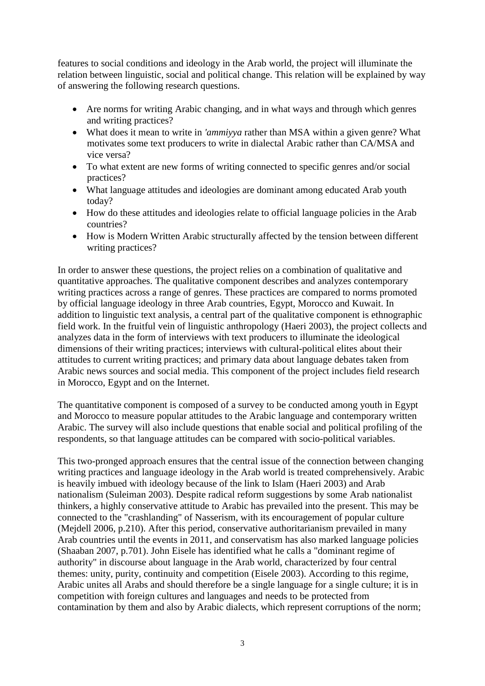features to social conditions and ideology in the Arab world, the project will illuminate the relation between linguistic, social and political change. This relation will be explained by way of answering the following research questions.

- Are norms for writing Arabic changing, and in what ways and through which genres and writing practices?
- What does it mean to write in *'ammiyya* rather than MSA within a given genre? What motivates some text producers to write in dialectal Arabic rather than CA/MSA and vice versa?
- To what extent are new forms of writing connected to specific genres and/or social practices?
- What language attitudes and ideologies are dominant among educated Arab youth today?
- How do these attitudes and ideologies relate to official language policies in the Arab countries?
- How is Modern Written Arabic structurally affected by the tension between different writing practices?

In order to answer these questions, the project relies on a combination of qualitative and quantitative approaches. The qualitative component describes and analyzes contemporary writing practices across a range of genres. These practices are compared to norms promoted by official language ideology in three Arab countries, Egypt, Morocco and Kuwait. In addition to linguistic text analysis, a central part of the qualitative component is ethnographic field work. In the fruitful vein of linguistic anthropology (Haeri 2003), the project collects and analyzes data in the form of interviews with text producers to illuminate the ideological dimensions of their writing practices; interviews with cultural-political elites about their attitudes to current writing practices; and primary data about language debates taken from Arabic news sources and social media. This component of the project includes field research in Morocco, Egypt and on the Internet.

The quantitative component is composed of a survey to be conducted among youth in Egypt and Morocco to measure popular attitudes to the Arabic language and contemporary written Arabic. The survey will also include questions that enable social and political profiling of the respondents, so that language attitudes can be compared with socio-political variables.

This two-pronged approach ensures that the central issue of the connection between changing writing practices and language ideology in the Arab world is treated comprehensively. Arabic is heavily imbued with ideology because of the link to Islam (Haeri 2003) and Arab nationalism (Suleiman 2003). Despite radical reform suggestions by some Arab nationalist thinkers, a highly conservative attitude to Arabic has prevailed into the present. This may be connected to the "crashlanding" of Nasserism, with its encouragement of popular culture (Mejdell 2006, p.210). After this period, conservative authoritarianism prevailed in many Arab countries until the events in 2011, and conservatism has also marked language policies (Shaaban 2007, p.701). John Eisele has identified what he calls a "dominant regime of authority" in discourse about language in the Arab world, characterized by four central themes: unity, purity, continuity and competition (Eisele 2003). According to this regime, Arabic unites all Arabs and should therefore be a single language for a single culture; it is in competition with foreign cultures and languages and needs to be protected from contamination by them and also by Arabic dialects, which represent corruptions of the norm;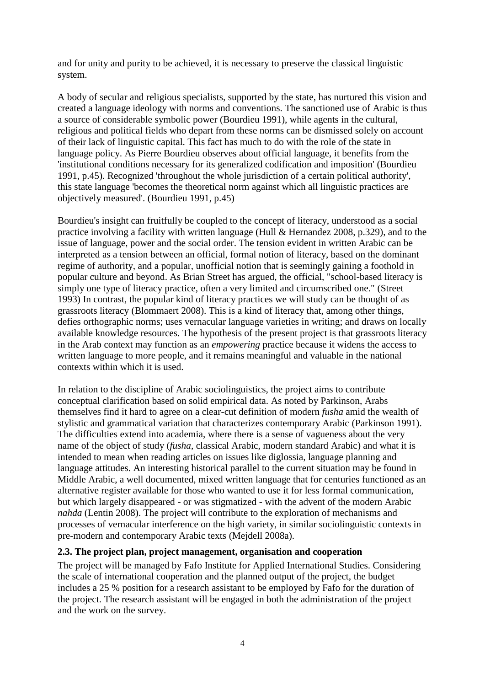and for unity and purity to be achieved, it is necessary to preserve the classical linguistic system.

A body of secular and religious specialists, supported by the state, has nurtured this vision and created a language ideology with norms and conventions. The sanctioned use of Arabic is thus a source of considerable symbolic power (Bourdieu 1991), while agents in the cultural, religious and political fields who depart from these norms can be dismissed solely on account of their lack of linguistic capital. This fact has much to do with the role of the state in language policy. As Pierre Bourdieu observes about official language, it benefits from the 'institutional conditions necessary for its generalized codification and imposition' (Bourdieu 1991, p.45). Recognized 'throughout the whole jurisdiction of a certain political authority', this state language 'becomes the theoretical norm against which all linguistic practices are objectively measured'. (Bourdieu 1991, p.45)

Bourdieu's insight can fruitfully be coupled to the concept of literacy, understood as a social practice involving a facility with written language (Hull & Hernandez 2008, p.329), and to the issue of language, power and the social order. The tension evident in written Arabic can be interpreted as a tension between an official, formal notion of literacy, based on the dominant regime of authority, and a popular, unofficial notion that is seemingly gaining a foothold in popular culture and beyond. As Brian Street has argued, the official, "school-based literacy is simply one type of literacy practice, often a very limited and circumscribed one." (Street 1993) In contrast, the popular kind of literacy practices we will study can be thought of as grassroots literacy (Blommaert 2008). This is a kind of literacy that, among other things, defies orthographic norms; uses vernacular language varieties in writing; and draws on locally available knowledge resources. The hypothesis of the present project is that grassroots literacy in the Arab context may function as an *empowering* practice because it widens the access to written language to more people, and it remains meaningful and valuable in the national contexts within which it is used.

In relation to the discipline of Arabic sociolinguistics, the project aims to contribute conceptual clarification based on solid empirical data. As noted by Parkinson, Arabs themselves find it hard to agree on a clear-cut definition of modern *fusha* amid the wealth of stylistic and grammatical variation that characterizes contemporary Arabic (Parkinson 1991). The difficulties extend into academia, where there is a sense of vagueness about the very name of the object of study (*fusha*, classical Arabic, modern standard Arabic) and what it is intended to mean when reading articles on issues like diglossia, language planning and language attitudes. An interesting historical parallel to the current situation may be found in Middle Arabic, a well documented, mixed written language that for centuries functioned as an alternative register available for those who wanted to use it for less formal communication, but which largely disappeared - or was stigmatized - with the advent of the modern Arabic *nahda* (Lentin 2008). The project will contribute to the exploration of mechanisms and processes of vernacular interference on the high variety, in similar sociolinguistic contexts in pre-modern and contemporary Arabic texts (Mejdell 2008a).

### **2.3. The project plan, project management, organisation and cooperation**

The project will be managed by Fafo Institute for Applied International Studies. Considering the scale of international cooperation and the planned output of the project, the budget includes a 25 % position for a research assistant to be employed by Fafo for the duration of the project. The research assistant will be engaged in both the administration of the project and the work on the survey.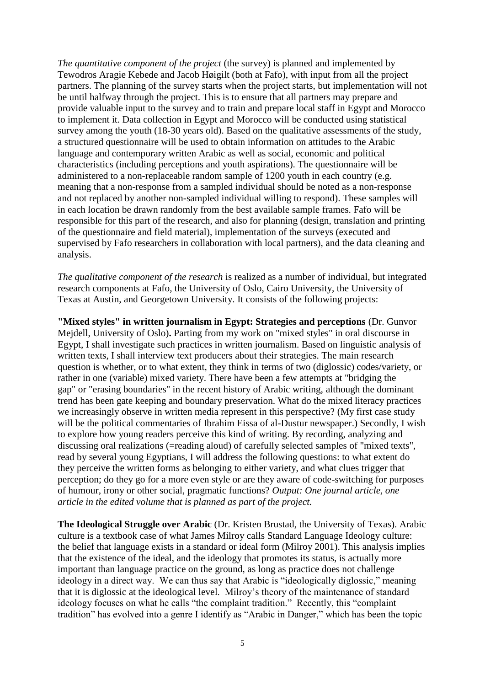*The quantitative component of the project* (the survey) is planned and implemented by Tewodros Aragie Kebede and Jacob Høigilt (both at Fafo), with input from all the project partners. The planning of the survey starts when the project starts, but implementation will not be until halfway through the project. This is to ensure that all partners may prepare and provide valuable input to the survey and to train and prepare local staff in Egypt and Morocco to implement it. Data collection in Egypt and Morocco will be conducted using statistical survey among the youth (18-30 years old). Based on the qualitative assessments of the study, a structured questionnaire will be used to obtain information on attitudes to the Arabic language and contemporary written Arabic as well as social, economic and political characteristics (including perceptions and youth aspirations). The questionnaire will be administered to a non-replaceable random sample of 1200 youth in each country (e.g. meaning that a non-response from a sampled individual should be noted as a non-response and not replaced by another non-sampled individual willing to respond). These samples will in each location be drawn randomly from the best available sample frames. Fafo will be responsible for this part of the research, and also for planning (design, translation and printing of the questionnaire and field material), implementation of the surveys (executed and supervised by Fafo researchers in collaboration with local partners), and the data cleaning and analysis.

*The qualitative component of the research* is realized as a number of individual, but integrated research components at Fafo, the University of Oslo, Cairo University, the University of Texas at Austin, and Georgetown University. It consists of the following projects:

**"Mixed styles" in written journalism in Egypt: Strategies and perceptions** (Dr. Gunvor Mejdell, University of Oslo)**.** Parting from my work on "mixed styles" in oral discourse in Egypt, I shall investigate such practices in written journalism. Based on linguistic analysis of written texts, I shall interview text producers about their strategies. The main research question is whether, or to what extent, they think in terms of two (diglossic) codes/variety, or rather in one (variable) mixed variety. There have been a few attempts at "bridging the gap" or "erasing boundaries" in the recent history of Arabic writing, although the dominant trend has been gate keeping and boundary preservation. What do the mixed literacy practices we increasingly observe in written media represent in this perspective? (My first case study will be the political commentaries of Ibrahim Eissa of al-Dustur newspaper.) Secondly, I wish to explore how young readers perceive this kind of writing. By recording, analyzing and discussing oral realizations (=reading aloud) of carefully selected samples of "mixed texts", read by several young Egyptians, I will address the following questions: to what extent do they perceive the written forms as belonging to either variety, and what clues trigger that perception; do they go for a more even style or are they aware of code-switching for purposes of humour, irony or other social, pragmatic functions? *Output: One journal article, one article in the edited volume that is planned as part of the project.*

**The Ideological Struggle over Arabic** (Dr. Kristen Brustad, the University of Texas). Arabic culture is a textbook case of what James Milroy calls Standard Language Ideology culture: the belief that language exists in a standard or ideal form (Milroy 2001). This analysis implies that the existence of the ideal, and the ideology that promotes its status, is actually more important than language practice on the ground, as long as practice does not challenge ideology in a direct way. We can thus say that Arabic is "ideologically diglossic," meaning that it is diglossic at the ideological level. Milroy's theory of the maintenance of standard ideology focuses on what he calls "the complaint tradition." Recently, this "complaint tradition" has evolved into a genre I identify as "Arabic in Danger," which has been the topic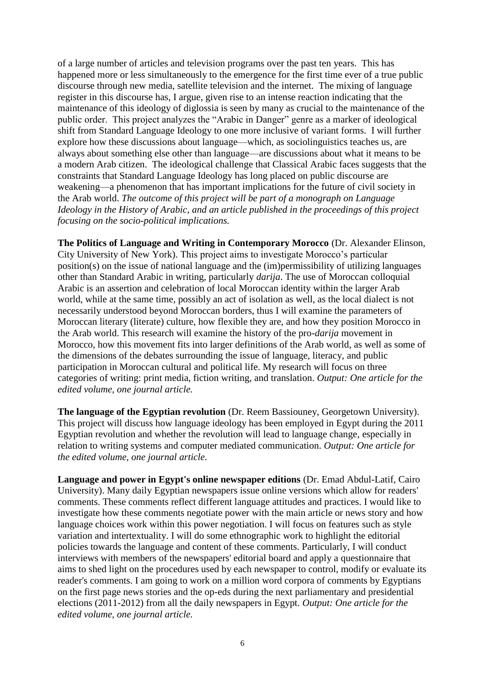of a large number of articles and television programs over the past ten years. This has happened more or less simultaneously to the emergence for the first time ever of a true public discourse through new media, satellite television and the internet. The mixing of language register in this discourse has, I argue, given rise to an intense reaction indicating that the maintenance of this ideology of diglossia is seen by many as crucial to the maintenance of the public order. This project analyzes the "Arabic in Danger" genre as a marker of ideological shift from Standard Language Ideology to one more inclusive of variant forms. I will further explore how these discussions about language—which, as sociolinguistics teaches us, are always about something else other than language—are discussions about what it means to be a modern Arab citizen. The ideological challenge that Classical Arabic faces suggests that the constraints that Standard Language Ideology has long placed on public discourse are weakening—a phenomenon that has important implications for the future of civil society in the Arab world. *The outcome of this project will be part of a monograph on Language Ideology in the History of Arabic, and an article published in the proceedings of this project focusing on the socio-political implications.* 

**The Politics of Language and Writing in Contemporary Morocco** (Dr. Alexander Elinson, City University of New York). This project aims to investigate Morocco's particular position(s) on the issue of national language and the (im)permissibility of utilizing languages other than Standard Arabic in writing, particularly *darija*. The use of Moroccan colloquial Arabic is an assertion and celebration of local Moroccan identity within the larger Arab world, while at the same time, possibly an act of isolation as well, as the local dialect is not necessarily understood beyond Moroccan borders, thus I will examine the parameters of Moroccan literary (literate) culture, how flexible they are, and how they position Morocco in the Arab world. This research will examine the history of the pro-*darija* movement in Morocco, how this movement fits into larger definitions of the Arab world, as well as some of the dimensions of the debates surrounding the issue of language, literacy, and public participation in Moroccan cultural and political life. My research will focus on three categories of writing: print media, fiction writing, and translation. *Output: One article for the edited volume, one journal article.*

**The language of the Egyptian revolution** (Dr. Reem Bassiouney, Georgetown University). This project will discuss how language ideology has been employed in Egypt during the 2011 Egyptian revolution and whether the revolution will lead to language change, especially in relation to writing systems and computer mediated communication. *Output: One article for the edited volume, one journal article.*

**Language and power in Egypt's online newspaper editions** (Dr. Emad Abdul-Latif, Cairo University). Many daily Egyptian newspapers issue online versions which allow for readers' comments. These comments reflect different language attitudes and practices. I would like to investigate how these comments negotiate power with the main article or news story and how language choices work within this power negotiation. I will focus on features such as style variation and intertextuality. I will do some ethnographic work to highlight the editorial policies towards the language and content of these comments. Particularly, I will conduct interviews with members of the newspapers' editorial board and apply a questionnaire that aims to shed light on the procedures used by each newspaper to control, modify or evaluate its reader's comments. I am going to work on a million word corpora of comments by Egyptians on the first page news stories and the op-eds during the next parliamentary and presidential elections (2011-2012) from all the daily newspapers in Egypt. *Output: One article for the edited volume, one journal article.*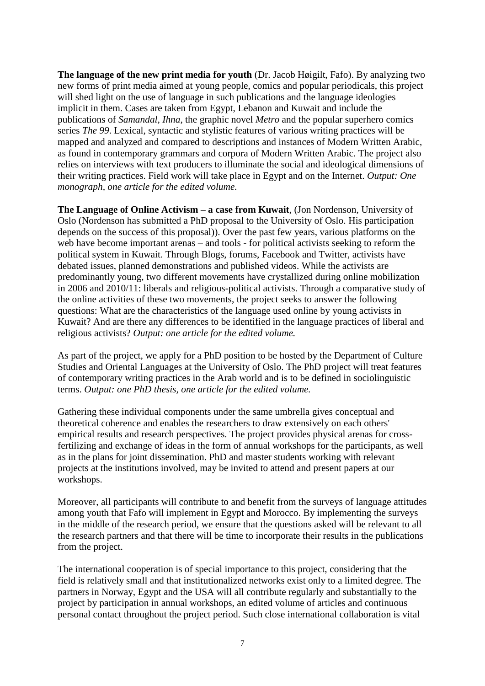**The language of the new print media for youth** (Dr. Jacob Høigilt, Fafo). By analyzing two new forms of print media aimed at young people, comics and popular periodicals, this project will shed light on the use of language in such publications and the language ideologies implicit in them. Cases are taken from Egypt, Lebanon and Kuwait and include the publications of *Samandal*, *Ihna*, the graphic novel *Metro* and the popular superhero comics series *The 99*. Lexical, syntactic and stylistic features of various writing practices will be mapped and analyzed and compared to descriptions and instances of Modern Written Arabic, as found in contemporary grammars and corpora of Modern Written Arabic. The project also relies on interviews with text producers to illuminate the social and ideological dimensions of their writing practices. Field work will take place in Egypt and on the Internet. *Output: One monograph, one article for the edited volume.*

**The Language of Online Activism – a case from Kuwait**, (Jon Nordenson, University of Oslo (Nordenson has submitted a PhD proposal to the University of Oslo. His participation depends on the success of this proposal)). Over the past few years, various platforms on the web have become important arenas – and tools - for political activists seeking to reform the political system in Kuwait. Through Blogs, forums, Facebook and Twitter, activists have debated issues, planned demonstrations and published videos. While the activists are predominantly young, two different movements have crystallized during online mobilization in 2006 and 2010/11: liberals and religious-political activists. Through a comparative study of the online activities of these two movements, the project seeks to answer the following questions: What are the characteristics of the language used online by young activists in Kuwait? And are there any differences to be identified in the language practices of liberal and religious activists? *Output: one article for the edited volume.* 

As part of the project, we apply for a PhD position to be hosted by the Department of Culture Studies and Oriental Languages at the University of Oslo. The PhD project will treat features of contemporary writing practices in the Arab world and is to be defined in sociolinguistic terms. *Output: one PhD thesis, one article for the edited volume.*

Gathering these individual components under the same umbrella gives conceptual and theoretical coherence and enables the researchers to draw extensively on each others' empirical results and research perspectives. The project provides physical arenas for crossfertilizing and exchange of ideas in the form of annual workshops for the participants, as well as in the plans for joint dissemination. PhD and master students working with relevant projects at the institutions involved, may be invited to attend and present papers at our workshops.

Moreover, all participants will contribute to and benefit from the surveys of language attitudes among youth that Fafo will implement in Egypt and Morocco. By implementing the surveys in the middle of the research period, we ensure that the questions asked will be relevant to all the research partners and that there will be time to incorporate their results in the publications from the project.

The international cooperation is of special importance to this project, considering that the field is relatively small and that institutionalized networks exist only to a limited degree. The partners in Norway, Egypt and the USA will all contribute regularly and substantially to the project by participation in annual workshops, an edited volume of articles and continuous personal contact throughout the project period. Such close international collaboration is vital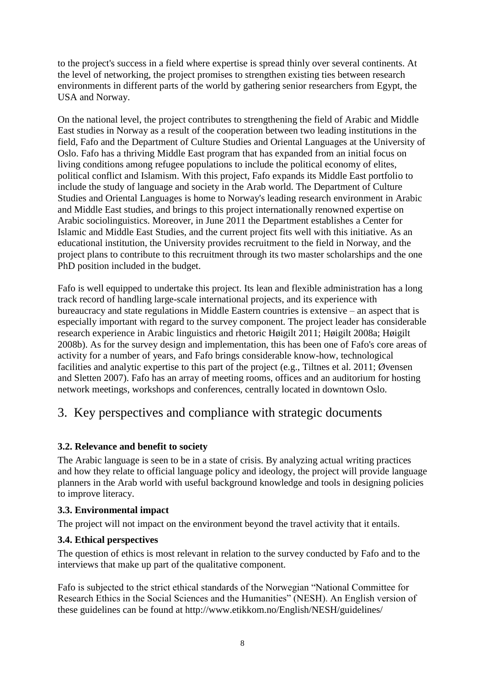to the project's success in a field where expertise is spread thinly over several continents. At the level of networking, the project promises to strengthen existing ties between research environments in different parts of the world by gathering senior researchers from Egypt, the USA and Norway.

On the national level, the project contributes to strengthening the field of Arabic and Middle East studies in Norway as a result of the cooperation between two leading institutions in the field, Fafo and the Department of Culture Studies and Oriental Languages at the University of Oslo. Fafo has a thriving Middle East program that has expanded from an initial focus on living conditions among refugee populations to include the political economy of elites, political conflict and Islamism. With this project, Fafo expands its Middle East portfolio to include the study of language and society in the Arab world. The Department of Culture Studies and Oriental Languages is home to Norway's leading research environment in Arabic and Middle East studies, and brings to this project internationally renowned expertise on Arabic sociolinguistics. Moreover, in June 2011 the Department establishes a Center for Islamic and Middle East Studies, and the current project fits well with this initiative. As an educational institution, the University provides recruitment to the field in Norway, and the project plans to contribute to this recruitment through its two master scholarships and the one PhD position included in the budget.

Fafo is well equipped to undertake this project. Its lean and flexible administration has a long track record of handling large-scale international projects, and its experience with bureaucracy and state regulations in Middle Eastern countries is extensive – an aspect that is especially important with regard to the survey component. The project leader has considerable research experience in Arabic linguistics and rhetoric Høigilt 2011; Høigilt 2008a; Høigilt 2008b). As for the survey design and implementation, this has been one of Fafo's core areas of activity for a number of years, and Fafo brings considerable know-how, technological facilities and analytic expertise to this part of the project (e.g., Tiltnes et al. 2011; Øvensen and Sletten 2007). Fafo has an array of meeting rooms, offices and an auditorium for hosting network meetings, workshops and conferences, centrally located in downtown Oslo.

# 3. Key perspectives and compliance with strategic documents

# **3.2. Relevance and benefit to society**

The Arabic language is seen to be in a state of crisis. By analyzing actual writing practices and how they relate to official language policy and ideology, the project will provide language planners in the Arab world with useful background knowledge and tools in designing policies to improve literacy.

### **3.3. Environmental impact**

The project will not impact on the environment beyond the travel activity that it entails.

### **3.4. Ethical perspectives**

The question of ethics is most relevant in relation to the survey conducted by Fafo and to the interviews that make up part of the qualitative component.

Fafo is subjected to the strict ethical standards of the Norwegian "National Committee for Research Ethics in the Social Sciences and the Humanities" (NESH). An English version of these guidelines can be found at http://www.etikkom.no/English/NESH/guidelines/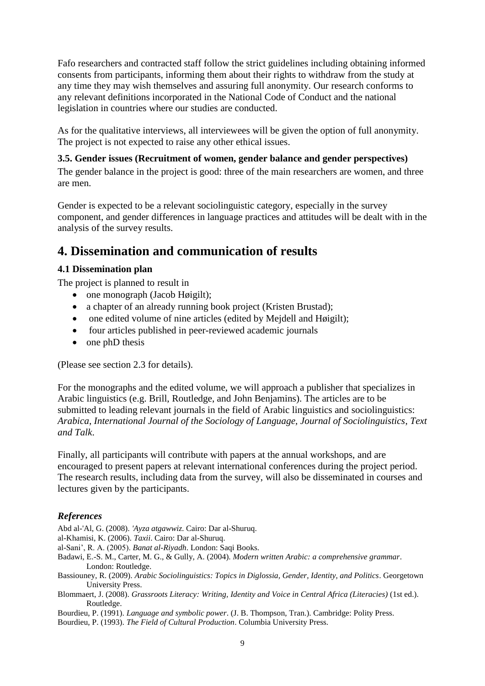Fafo researchers and contracted staff follow the strict guidelines including obtaining informed consents from participants, informing them about their rights to withdraw from the study at any time they may wish themselves and assuring full anonymity. Our research conforms to any relevant definitions incorporated in the National Code of Conduct and the national legislation in countries where our studies are conducted.

As for the qualitative interviews, all interviewees will be given the option of full anonymity. The project is not expected to raise any other ethical issues.

### **3.5. Gender issues (Recruitment of women, gender balance and gender perspectives)**

The gender balance in the project is good: three of the main researchers are women, and three are men.

Gender is expected to be a relevant sociolinguistic category, especially in the survey component, and gender differences in language practices and attitudes will be dealt with in the analysis of the survey results.

# **4. Dissemination and communication of results**

### **4.1 Dissemination plan**

The project is planned to result in

- $\bullet$  one monograph (Jacob Høigilt);
- a chapter of an already running book project (Kristen Brustad);
- one edited volume of nine articles (edited by Mejdell and Høigilt);
- four articles published in peer-reviewed academic journals
- $\bullet$  one phD thesis

(Please see section 2.3 for details).

For the monographs and the edited volume, we will approach a publisher that specializes in Arabic linguistics (e.g. Brill, Routledge, and John Benjamins). The articles are to be submitted to leading relevant journals in the field of Arabic linguistics and sociolinguistics: *Arabica*, *International Journal of the Sociology of Language, Journal of Sociolinguistics*, *Text and Talk*.

Finally, all participants will contribute with papers at the annual workshops, and are encouraged to present papers at relevant international conferences during the project period. The research results, including data from the survey, will also be disseminated in courses and lectures given by the participants.

### *References*

- Abd al-'Al, G. (2008). *'Ayza atgawwiz*. Cairo: Dar al-Shuruq.
- al-Khamisi, K. (2006). *Taxii*. Cairo: Dar al-Shuruq.
- al-Sani', R. A. (2005). *Banat al-Riyadh*. London: Saqi Books.
- Badawi, E.-S. M., Carter, M. G., & Gully, A. (2004). *Modern written Arabic: a comprehensive grammar*. London: Routledge.
- Bassiouney, R. (2009). *Arabic Sociolinguistics: Topics in Diglossia, Gender, Identity, and Politics*. Georgetown University Press.
- Blommaert, J. (2008). *Grassroots Literacy: Writing, Identity and Voice in Central Africa (Literacies)* (1st ed.). Routledge.
- Bourdieu, P. (1991). *Language and symbolic power*. (J. B. Thompson, Tran.). Cambridge: Polity Press.
- Bourdieu, P. (1993). *The Field of Cultural Production*. Columbia University Press.